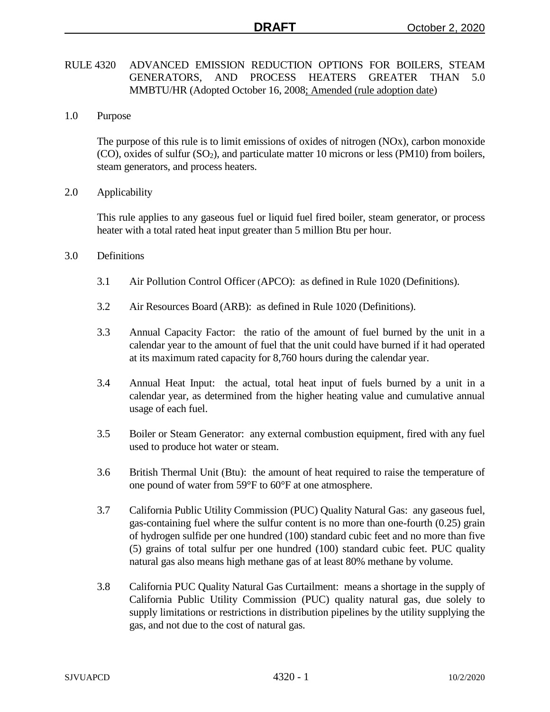# RULE 4320 ADVANCED EMISSION REDUCTION OPTIONS FOR BOILERS, STEAM GENERATORS, AND PROCESS HEATERS GREATER THAN 5.0 MMBTU/HR (Adopted October 16, 2008; Amended (rule adoption date)

1.0 Purpose

The purpose of this rule is to limit emissions of oxides of nitrogen (NOx), carbon monoxide  $(CO)$ , oxides of sulfur  $(SO<sub>2</sub>)$ , and particulate matter 10 microns or less (PM10) from boilers, steam generators, and process heaters.

2.0 Applicability

This rule applies to any gaseous fuel or liquid fuel fired boiler, steam generator, or process heater with a total rated heat input greater than 5 million Btu per hour.

- 3.0 Definitions
	- 3.1 Air Pollution Control Officer (APCO): as defined in Rule 1020 (Definitions).
	- 3.2 Air Resources Board (ARB): as defined in Rule 1020 (Definitions).
	- 3.3 Annual Capacity Factor: the ratio of the amount of fuel burned by the unit in a calendar year to the amount of fuel that the unit could have burned if it had operated at its maximum rated capacity for 8,760 hours during the calendar year.
	- 3.4 Annual Heat Input: the actual, total heat input of fuels burned by a unit in a calendar year, as determined from the higher heating value and cumulative annual usage of each fuel.
	- 3.5 Boiler or Steam Generator: any external combustion equipment, fired with any fuel used to produce hot water or steam.
	- 3.6 British Thermal Unit (Btu): the amount of heat required to raise the temperature of one pound of water from 59°F to 60°F at one atmosphere.
	- 3.7 California Public Utility Commission (PUC) Quality Natural Gas: any gaseous fuel, gas-containing fuel where the sulfur content is no more than one-fourth (0.25) grain of hydrogen sulfide per one hundred (100) standard cubic feet and no more than five (5) grains of total sulfur per one hundred (100) standard cubic feet. PUC quality natural gas also means high methane gas of at least 80% methane by volume.
	- 3.8 California PUC Quality Natural Gas Curtailment: means a shortage in the supply of California Public Utility Commission (PUC) quality natural gas, due solely to supply limitations or restrictions in distribution pipelines by the utility supplying the gas, and not due to the cost of natural gas.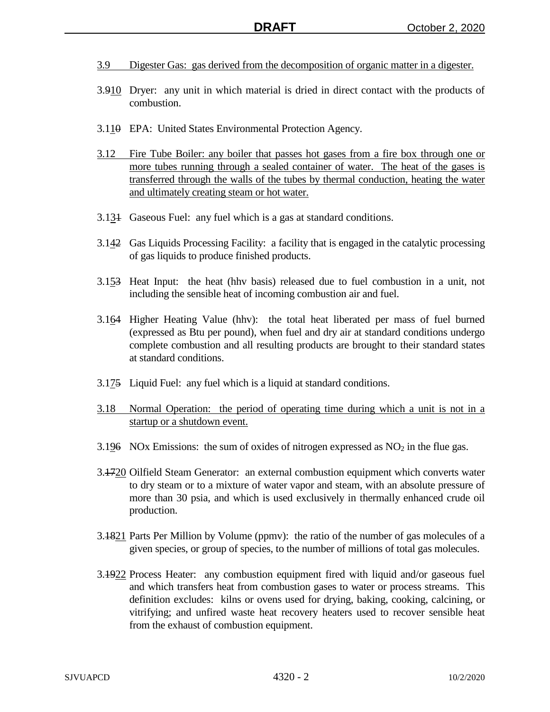- 3.9 Digester Gas: gas derived from the decomposition of organic matter in a digester.
- 3.910 Dryer: any unit in which material is dried in direct contact with the products of combustion.
- 3.110 EPA: United States Environmental Protection Agency.
- 3.12 Fire Tube Boiler: any boiler that passes hot gases from a fire box through one or more tubes running through a sealed container of water. The heat of the gases is transferred through the walls of the tubes by thermal conduction, heating the water and ultimately creating steam or hot water.
- 3.131 Gaseous Fuel: any fuel which is a gas at standard conditions.
- 3.142 Gas Liquids Processing Facility: a facility that is engaged in the catalytic processing of gas liquids to produce finished products.
- 3.153 Heat Input: the heat (hhv basis) released due to fuel combustion in a unit, not including the sensible heat of incoming combustion air and fuel.
- 3.164 Higher Heating Value (hhv): the total heat liberated per mass of fuel burned (expressed as Btu per pound), when fuel and dry air at standard conditions undergo complete combustion and all resulting products are brought to their standard states at standard conditions.
- 3.175 Liquid Fuel: any fuel which is a liquid at standard conditions.
- 3.18 Normal Operation: the period of operating time during which a unit is not in a startup or a shutdown event.
- 3.196 NOx Emissions: the sum of oxides of nitrogen expressed as  $NO<sub>2</sub>$  in the flue gas.
- 3.1720 Oilfield Steam Generator: an external combustion equipment which converts water to dry steam or to a mixture of water vapor and steam, with an absolute pressure of more than 30 psia, and which is used exclusively in thermally enhanced crude oil production.
- 3.1821 Parts Per Million by Volume (ppmv): the ratio of the number of gas molecules of a given species, or group of species, to the number of millions of total gas molecules.
- 3.1922 Process Heater: any combustion equipment fired with liquid and/or gaseous fuel and which transfers heat from combustion gases to water or process streams. This definition excludes: kilns or ovens used for drying, baking, cooking, calcining, or vitrifying; and unfired waste heat recovery heaters used to recover sensible heat from the exhaust of combustion equipment.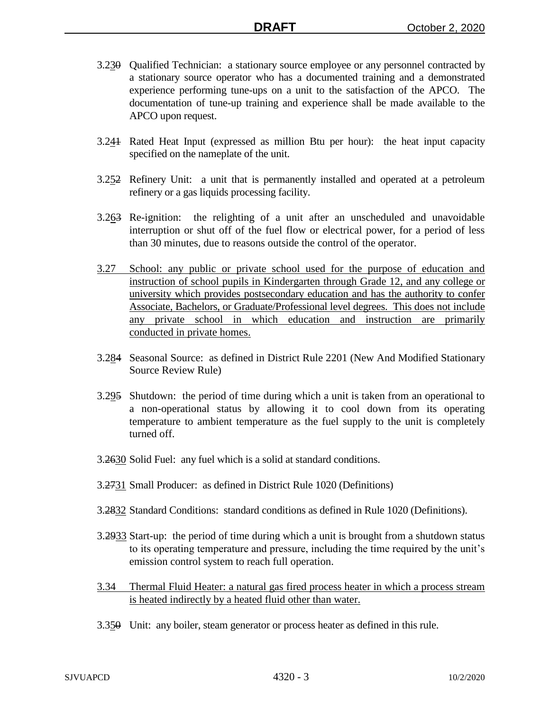- 3.230 Qualified Technician: a stationary source employee or any personnel contracted by a stationary source operator who has a documented training and a demonstrated experience performing tune-ups on a unit to the satisfaction of the APCO. The documentation of tune-up training and experience shall be made available to the APCO upon request.
- 3.241 Rated Heat Input (expressed as million Btu per hour): the heat input capacity specified on the nameplate of the unit.
- 3.252 Refinery Unit: a unit that is permanently installed and operated at a petroleum refinery or a gas liquids processing facility.
- 3.263 Re-ignition: the relighting of a unit after an unscheduled and unavoidable interruption or shut off of the fuel flow or electrical power, for a period of less than 30 minutes, due to reasons outside the control of the operator.
- 3.27 School: any public or private school used for the purpose of education and instruction of school pupils in Kindergarten through Grade 12, and any college or university which provides postsecondary education and has the authority to confer Associate, Bachelors, or Graduate/Professional level degrees. This does not include any private school in which education and instruction are primarily conducted in private homes.
- 3.284 Seasonal Source: as defined in District Rule 2201 (New And Modified Stationary Source Review Rule)
- 3.295 Shutdown: the period of time during which a unit is taken from an operational to a non-operational status by allowing it to cool down from its operating temperature to ambient temperature as the fuel supply to the unit is completely turned off.
- 3.2630 Solid Fuel: any fuel which is a solid at standard conditions.
- 3.2731 Small Producer: as defined in District Rule 1020 (Definitions)
- 3.2832 Standard Conditions: standard conditions as defined in Rule 1020 (Definitions).
- 3.2933 Start-up: the period of time during which a unit is brought from a shutdown status to its operating temperature and pressure, including the time required by the unit's emission control system to reach full operation.
- 3.34 Thermal Fluid Heater: a natural gas fired process heater in which a process stream is heated indirectly by a heated fluid other than water.
- 3.350 Unit: any boiler, steam generator or process heater as defined in this rule.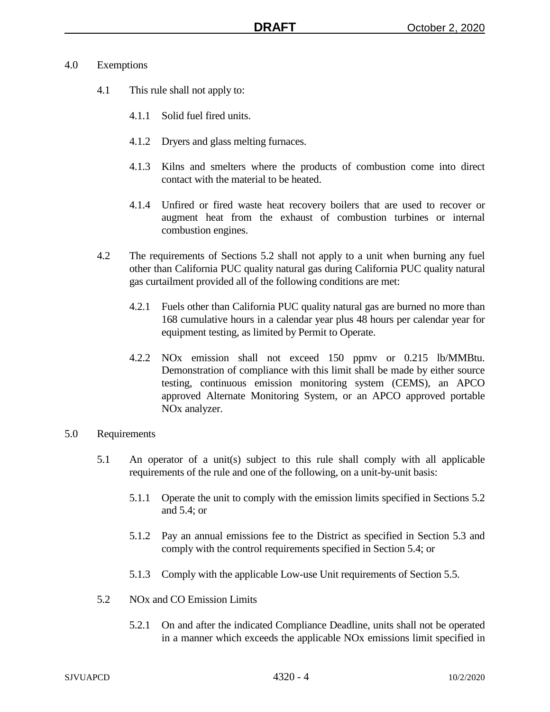### 4.0 Exemptions

- 4.1 This rule shall not apply to:
	- 4.1.1 Solid fuel fired units.
	- 4.1.2 Dryers and glass melting furnaces.
	- 4.1.3 Kilns and smelters where the products of combustion come into direct contact with the material to be heated.
	- 4.1.4 Unfired or fired waste heat recovery boilers that are used to recover or augment heat from the exhaust of combustion turbines or internal combustion engines.
- 4.2 The requirements of Sections 5.2 shall not apply to a unit when burning any fuel other than California PUC quality natural gas during California PUC quality natural gas curtailment provided all of the following conditions are met:
	- 4.2.1 Fuels other than California PUC quality natural gas are burned no more than 168 cumulative hours in a calendar year plus 48 hours per calendar year for equipment testing, as limited by Permit to Operate.
	- 4.2.2 NOx emission shall not exceed 150 ppmv or 0.215 lb/MMBtu. Demonstration of compliance with this limit shall be made by either source testing, continuous emission monitoring system (CEMS), an APCO approved Alternate Monitoring System, or an APCO approved portable NOx analyzer.

# 5.0 Requirements

- 5.1 An operator of a unit(s) subject to this rule shall comply with all applicable requirements of the rule and one of the following, on a unit-by-unit basis:
	- 5.1.1 Operate the unit to comply with the emission limits specified in Sections 5.2 and 5.4; or
	- 5.1.2 Pay an annual emissions fee to the District as specified in Section 5.3 and comply with the control requirements specified in Section 5.4; or
	- 5.1.3 Comply with the applicable Low-use Unit requirements of Section 5.5.
- 5.2 NOx and CO Emission Limits
	- 5.2.1 On and after the indicated Compliance Deadline, units shall not be operated in a manner which exceeds the applicable NOx emissions limit specified in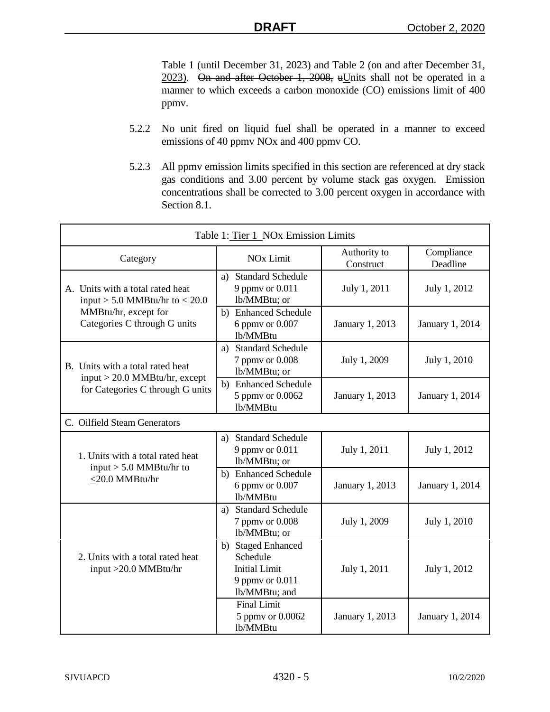Table 1 (until December 31, 2023) and Table 2 (on and after December 31,  $2023$ . On and after October 1, 2008, uUnits shall not be operated in a manner to which exceeds a carbon monoxide (CO) emissions limit of 400 ppmv.

- 5.2.2 No unit fired on liquid fuel shall be operated in a manner to exceed emissions of 40 ppmv NOx and 400 ppmv CO.
- 5.2.3 All ppmv emission limits specified in this section are referenced at dry stack gas conditions and 3.00 percent by volume stack gas oxygen. Emission concentrations shall be corrected to 3.00 percent oxygen in accordance with Section 8.1.

| Table 1: Tier 1 NOx Emission Limits                                             |                                                                                            |                           |                        |  |
|---------------------------------------------------------------------------------|--------------------------------------------------------------------------------------------|---------------------------|------------------------|--|
| Category                                                                        | <b>NO<sub>x</sub></b> Limit                                                                | Authority to<br>Construct | Compliance<br>Deadline |  |
| A. Units with a total rated heat<br>input > 5.0 MMBtu/hr to $\leq$ 20.0         | a) Standard Schedule<br>9 ppmy or 0.011<br>lb/MMBtu; or                                    | July 1, 2011              | July 1, 2012           |  |
| MMBtu/hr, except for<br>Categories C through G units                            | b) Enhanced Schedule<br>6 ppmy or 0.007<br>lb/MMBtu                                        | January 1, 2013           | January 1, 2014        |  |
| B. Units with a total rated heat                                                | a) Standard Schedule<br>7 ppmy or 0.008<br>lb/MMBtu; or                                    | July 1, 2009              | July 1, 2010           |  |
| $input > 20.0$ MMBtu/hr, except<br>for Categories C through G units             | b) Enhanced Schedule<br>5 ppmv or 0.0062<br>lb/MMBtu                                       | January 1, 2013           | January 1, 2014        |  |
| C. Oilfield Steam Generators                                                    |                                                                                            |                           |                        |  |
| 1. Units with a total rated heat<br>input $> 5.0$ MMBtu/hr to<br><20.0 MMBtu/hr | a) Standard Schedule<br>9 ppmv or 0.011<br>lb/MMBtu; or                                    | July 1, 2011              | July 1, 2012           |  |
|                                                                                 | b) Enhanced Schedule<br>6 ppmv or 0.007<br>lb/MMBtu                                        | January 1, 2013           | January 1, 2014        |  |
|                                                                                 | a) Standard Schedule<br>7 ppmy or 0.008<br>lb/MMBtu; or                                    | July 1, 2009              | July 1, 2010           |  |
| 2. Units with a total rated heat<br>input >20.0 MMBtu/hr                        | b) Staged Enhanced<br>Schedule<br><b>Initial Limit</b><br>9 ppmv or 0.011<br>lb/MMBtu; and | July 1, 2011              | July 1, 2012           |  |
|                                                                                 | <b>Final Limit</b><br>5 ppmv or 0.0062<br>lb/MMBtu                                         | January 1, 2013           | January 1, 2014        |  |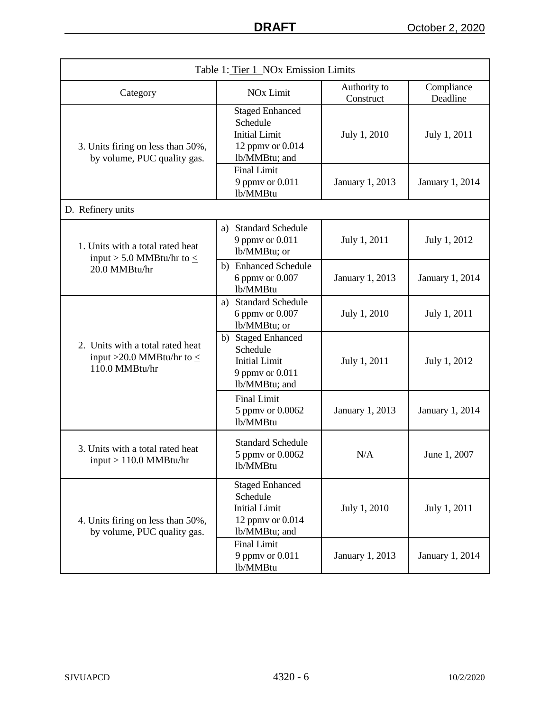| Table 1: Tier 1 NOx Emission Limits                                                  |                                                                                                      |                 |                        |  |
|--------------------------------------------------------------------------------------|------------------------------------------------------------------------------------------------------|-----------------|------------------------|--|
| Category                                                                             | Authority to<br><b>NO<sub>x</sub></b> Limit<br>Construct                                             |                 | Compliance<br>Deadline |  |
| 3. Units firing on less than 50%,<br>by volume, PUC quality gas.                     | <b>Staged Enhanced</b><br>Schedule<br><b>Initial Limit</b><br>12 ppmv or 0.014<br>lb/MMBtu; and      | July 1, 2010    | July 1, 2011           |  |
|                                                                                      | <b>Final Limit</b><br>9 ppmv or 0.011<br>lb/MMBtu                                                    | January 1, 2013 | January 1, 2014        |  |
| D. Refinery units                                                                    |                                                                                                      |                 |                        |  |
| 1. Units with a total rated heat<br>input > 5.0 MMBtu/hr to $\leq$                   | a) Standard Schedule<br>9 ppmy or 0.011<br>lb/MMBtu; or                                              | July 1, 2011    | July 1, 2012           |  |
| 20.0 MMBtu/hr                                                                        | b) Enhanced Schedule<br>6 ppmy or 0.007<br>lb/MMBtu                                                  | January 1, 2013 | January 1, 2014        |  |
| 2. Units with a total rated heat<br>input >20.0 MMBtu/hr to $\leq$<br>110.0 MMBtu/hr | <b>Standard Schedule</b><br>a)<br>6 ppmv or 0.007<br>lb/MMBtu; or                                    | July 1, 2010    | July 1, 2011           |  |
|                                                                                      | <b>Staged Enhanced</b><br>b)<br>Schedule<br><b>Initial Limit</b><br>9 ppmy or 0.011<br>lb/MMBtu; and | July 1, 2011    | July 1, 2012           |  |
|                                                                                      | <b>Final Limit</b><br>5 ppmv or 0.0062<br>lb/MMBtu                                                   | January 1, 2013 | January 1, 2014        |  |
| 3. Units with a total rated heat<br>$input > 110.0$ MMBtu/hr                         | <b>Standard Schedule</b><br>5 ppmy or 0.0062<br>lb/MMBtu                                             | N/A             | June 1, 2007           |  |
| 4. Units firing on less than 50%,<br>by volume, PUC quality gas.                     | <b>Staged Enhanced</b><br>Schedule<br><b>Initial Limit</b><br>12 ppmv or 0.014<br>lb/MMBtu; and      | July 1, 2010    | July 1, 2011           |  |
|                                                                                      | <b>Final Limit</b><br>9 ppmv or 0.011<br>lb/MMBtu                                                    | January 1, 2013 | <b>January 1, 2014</b> |  |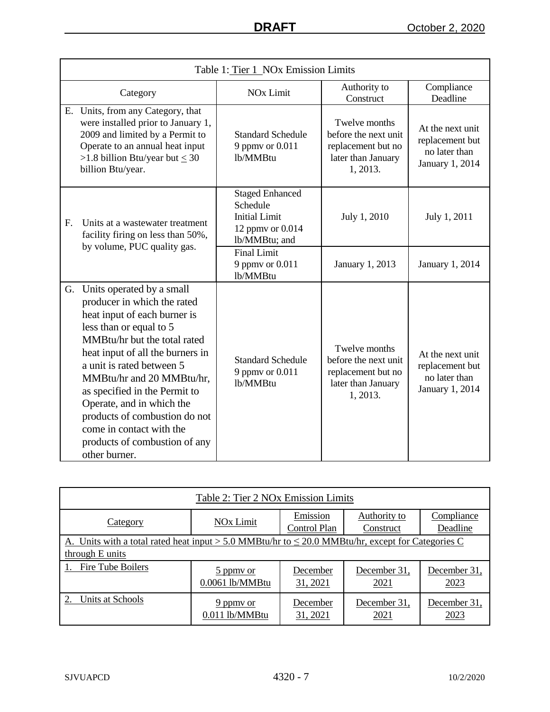|                                                                                                                       | Table 1: Tier 1 NOx Emission Limits                                                                                                                                                                                                                                                                                                                                                                                            |                                                                                                 |                                                                                               |                                                                         |  |
|-----------------------------------------------------------------------------------------------------------------------|--------------------------------------------------------------------------------------------------------------------------------------------------------------------------------------------------------------------------------------------------------------------------------------------------------------------------------------------------------------------------------------------------------------------------------|-------------------------------------------------------------------------------------------------|-----------------------------------------------------------------------------------------------|-------------------------------------------------------------------------|--|
| Category                                                                                                              |                                                                                                                                                                                                                                                                                                                                                                                                                                | <b>NO<sub>x</sub></b> Limit                                                                     | Authority to<br>Construct                                                                     | Compliance<br>Deadline                                                  |  |
| Е.                                                                                                                    | Units, from any Category, that<br>were installed prior to January 1,<br>2009 and limited by a Permit to<br>Operate to an annual heat input<br>>1.8 billion Btu/year but $\leq 30$<br>billion Btu/year.                                                                                                                                                                                                                         | <b>Standard Schedule</b><br>9 ppmv or 0.011<br>lb/MMBtu                                         | Twelve months<br>before the next unit<br>replacement but no<br>later than January<br>1, 2013. | At the next unit<br>replacement but<br>no later than<br>January 1, 2014 |  |
| F <sub>r</sub><br>Units at a wastewater treatment<br>facility firing on less than 50%,<br>by volume, PUC quality gas. |                                                                                                                                                                                                                                                                                                                                                                                                                                | <b>Staged Enhanced</b><br>Schedule<br><b>Initial Limit</b><br>12 ppmv or 0.014<br>lb/MMBtu; and | July 1, 2010                                                                                  | July 1, 2011                                                            |  |
|                                                                                                                       |                                                                                                                                                                                                                                                                                                                                                                                                                                | <b>Final Limit</b><br>9 ppmy or 0.011<br>lb/MMBtu                                               | January 1, 2013                                                                               | January 1, 2014                                                         |  |
| G.                                                                                                                    | Units operated by a small<br>producer in which the rated<br>heat input of each burner is<br>less than or equal to 5<br>MMBtu/hr but the total rated<br>heat input of all the burners in<br>a unit is rated between 5<br>MMBtu/hr and 20 MMBtu/hr,<br>as specified in the Permit to<br>Operate, and in which the<br>products of combustion do not<br>come in contact with the<br>products of combustion of any<br>other burner. | <b>Standard Schedule</b><br>9 ppmy or 0.011<br>lb/MMBtu                                         | Twelve months<br>before the next unit<br>replacement but no<br>later than January<br>1, 2013. | At the next unit<br>replacement but<br>no later than<br>January 1, 2014 |  |

| Table 2: Tier 2 NOx Emission Limits                                                                                       |                              |                          |                           |                        |
|---------------------------------------------------------------------------------------------------------------------------|------------------------------|--------------------------|---------------------------|------------------------|
| Category                                                                                                                  | NO <sub>x</sub> Limit        | Emission<br>Control Plan | Authority to<br>Construct | Compliance<br>Deadline |
| A. Units with a total rated heat input > 5.0 MMBtu/hr to $\leq$ 20.0 MMBtu/hr, except for Categories C<br>through E units |                              |                          |                           |                        |
| 1. Fire Tube Boilers                                                                                                      | 5 ppmy or<br>0.0061 lb/MMBtu | December<br>31, 2021     | December 31,<br>2021      | December 31,<br>2023   |
| Units at Schools                                                                                                          | 9 ppmy or<br>0.011 lb/MMBtu  | December<br>31, 2021     | December 31,<br>2021      | December 31,<br>2023   |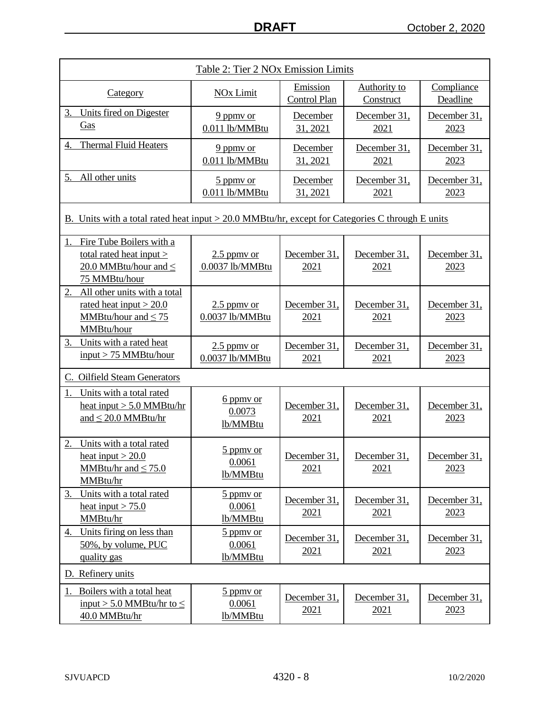| Table 2: Tier 2 NOx Emission Limits                                                                       |                                                            |                                 |                                  |                        |
|-----------------------------------------------------------------------------------------------------------|------------------------------------------------------------|---------------------------------|----------------------------------|------------------------|
| <b>Category</b>                                                                                           | <b>NOx Limit</b>                                           | Emission<br><b>Control Plan</b> | <b>Authority to</b><br>Construct | Compliance<br>Deadline |
| 3.<br>Units fired on Digester<br>Gas                                                                      | 9 ppmy or<br>0.011 lb/MMBtu                                | December<br>31, 2021            | December 31,<br>2021             | December 31,<br>2023   |
| <b>Thermal Fluid Heaters</b><br>4.                                                                        | 9 ppmy or<br>0.011 lb/MMBtu                                | December<br>31, 2021            | December 31,<br>2021             | December 31,<br>2023   |
| 5.<br>All other units                                                                                     | $\frac{5 \text{ ppm}}{2}$ or<br>0.011 lb/MMBtu             | December<br>31, 2021            | December 31,<br>2021             | December 31,<br>2023   |
| B. Units with a total rated heat input > 20.0 MMBtu/hr, except for Categories C through E units           |                                                            |                                 |                                  |                        |
| Fire Tube Boilers with a<br>total rated heat input $>$<br>20.0 MMBtu/hour and $\leq$<br>75 MMBtu/hour     | $2.5$ ppmy or<br>0.0037 lb/MMBtu                           | December 31,<br>2021            | December 31,<br>2021             | December 31,<br>2023   |
| 2.<br>All other units with a total<br>rated heat input $>$ 20.0<br>MMBtu/hour and $\leq$ 75<br>MMBtu/hour | $2.5$ ppmy or<br>0.0037 lb/MMBtu                           | December 31,<br>2021            | December 31,<br>2021             | December 31,<br>2023   |
| Units with a rated heat<br>3.<br>$input > 75$ MMBtu/hour                                                  | $2.5$ ppmy or<br>0.0037 lb/MMBtu                           | December 31,<br>2021            | December 31,<br>2021             | December 31,<br>2023   |
| C. Oilfield Steam Generators                                                                              |                                                            |                                 |                                  |                        |
| Units with a total rated<br>1.<br>heat input $> 5.0$ MMBtu/hr<br>and $\leq$ 20.0 MMBtu/hr                 | 6 ppmy or<br>0.0073<br>lb/MMBtu                            | December 31,<br>2021            | December 31,<br>2021             | December 31,<br>2023   |
| 2.<br>Units with a total rated<br>heat input $>$ 20.0<br>MMBtu/hr and $\leq$ 75.0<br>MMBtu/hr             | 5 ppmy or<br>0.0061<br>lb/MMBtu                            | December 31,<br>2021            | December 31,<br>2021             | December 31,<br>2023   |
| Units with a total rated<br>3.<br>heat input $> 75.0$<br>MMBtu/hr                                         | $\frac{5 \text{ ppm}}{2 \text{ cm}}$<br>0.0061<br>lb/MMBtu | December 31,<br>2021            | December 31,<br>2021             | December 31,<br>2023   |
| Units firing on less than<br>4.<br>50%, by volume, PUC<br>quality gas                                     | 5 ppmy or<br>0.0061<br>lb/MMBtu                            | December 31,<br>2021            | December 31,<br>2021             | December 31,<br>2023   |
| D. Refinery units                                                                                         |                                                            |                                 |                                  |                        |
| Boilers with a total heat<br>1.<br>input > 5.0 MMBtu/hr to $\leq$<br>40.0 MMBtu/hr                        | 5 ppmy or<br>0.0061<br>lb/MMBtu                            | December 31,<br>2021            | December 31,<br>2021             | December 31,<br>2023   |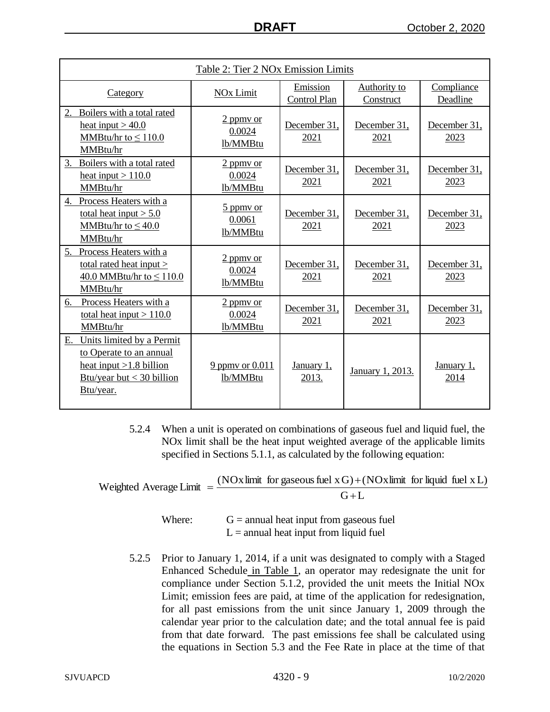| Table 2: Tier 2 NOx Emission Limits                                                                                                 |                                   |                          |                           |                        |
|-------------------------------------------------------------------------------------------------------------------------------------|-----------------------------------|--------------------------|---------------------------|------------------------|
| Category                                                                                                                            | <b>NO<sub>x</sub></b> Limit       | Emission<br>Control Plan | Authority to<br>Construct | Compliance<br>Deadline |
| Boilers with a total rated<br>heat input $> 40.0$<br>MMBtu/hr to $\leq 110.0$<br>MMBtu/hr                                           | 2 ppmy or<br>0.0024<br>lb/MMBtu   | December 31,<br>2021     | December 31,<br>2021      | December 31,<br>2023   |
| 3. Boilers with a total rated<br>heat input $> 110.0$<br>MMBtu/hr                                                                   | $2$ ppmy or<br>0.0024<br>lb/MMBtu | December 31,<br>2021     | December 31,<br>2021      | December 31,<br>2023   |
| 4. Process Heaters with a<br>total heat input $> 5.0$<br>MMBtu/hr to $\leq 40.0$<br>MMBtu/hr                                        | 5 ppmy or<br>0.0061<br>lb/MMBtu   | December 31,<br>2021     | December 31,<br>2021      | December 31,<br>2023   |
| 5. Process Heaters with a<br>total rated heat input ><br>40.0 MMBtu/hr to $\leq$ 110.0<br>MMBtu/hr                                  | 2 ppmy or<br>0.0024<br>lb/MMBtu   | December 31,<br>2021     | December 31,<br>2021      | December 31,<br>2023   |
| Process Heaters with a<br>6.<br>total heat input $> 110.0$<br>MMBtu/hr                                                              | 2 ppmy or<br>0.0024<br>lb/MMBtu   | December 31,<br>2021     | December 31,<br>2021      | December 31,<br>2023   |
| Units limited by a Permit<br>Е.<br>to Operate to an annual<br>heat input $>1.8$ billion<br>Btu/year but $<$ 30 billion<br>Btu/year. | $9$ ppmy or $0.011$<br>lb/MMBtu   | January 1,<br>2013.      | January 1, 2013.          | January 1,<br>2014     |

5.2.4 When a unit is operated on combinations of gaseous fuel and liquid fuel, the NOx limit shall be the heat input weighted average of the applicable limits specified in Sections 5.1.1, as calculated by the following equation:

Weighted Average Limit = 
$$
\frac{(NOx \text{ limit for gaseous fuel } x G) + (NOx \text{ limit for liquid fuel } x L)}{G + L}
$$

Where:  $G =$  annual heat input from gaseous fuel  $L =$  annual heat input from liquid fuel

5.2.5 Prior to January 1, 2014, if a unit was designated to comply with a Staged Enhanced Schedule in Table 1, an operator may redesignate the unit for compliance under Section 5.1.2, provided the unit meets the Initial NOx Limit; emission fees are paid, at time of the application for redesignation, for all past emissions from the unit since January 1, 2009 through the calendar year prior to the calculation date; and the total annual fee is paid from that date forward. The past emissions fee shall be calculated using the equations in Section 5.3 and the Fee Rate in place at the time of that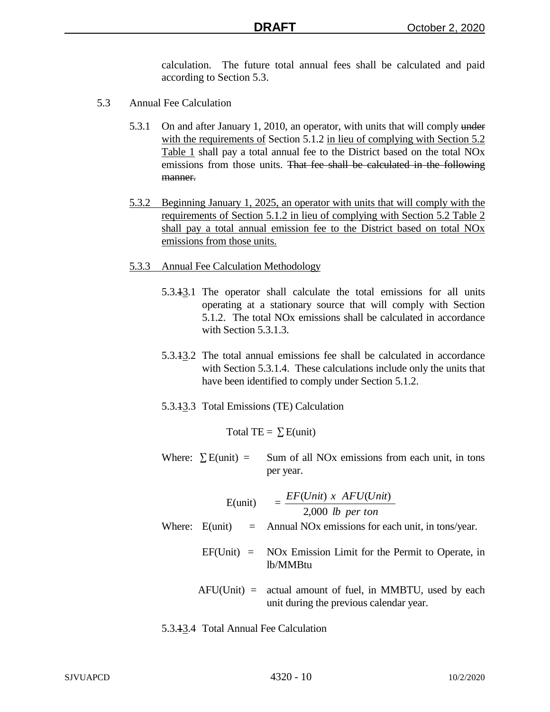calculation. The future total annual fees shall be calculated and paid according to Section 5.3.

- 5.3 Annual Fee Calculation
	- 5.3.1 On and after January 1, 2010, an operator, with units that will comply under with the requirements of Section 5.1.2 in lieu of complying with Section 5.2 Table 1 shall pay a total annual fee to the District based on the total NOx emissions from those units. That fee shall be calculated in the following manner.
	- 5.3.2 Beginning January 1, 2025, an operator with units that will comply with the requirements of Section 5.1.2 in lieu of complying with Section 5.2 Table 2 shall pay a total annual emission fee to the District based on total NOx emissions from those units.
	- 5.3.3 Annual Fee Calculation Methodology
		- 5.3.13.1 The operator shall calculate the total emissions for all units operating at a stationary source that will comply with Section 5.1.2. The total NOx emissions shall be calculated in accordance with Section 5.3.1.3.
		- 5.3.13.2 The total annual emissions fee shall be calculated in accordance with Section 5.3.1.4. These calculations include only the units that have been identified to comply under Section 5.1.2.
		- 5.3.13.3 Total Emissions (TE) Calculation

Total TE =  $\Sigma$  E(unit)

Where:  $\Sigma$  E(unit) = Sum of all NOx emissions from each unit, in tons per year.

| $E$ (unit) | $EF(Unit)$ x $AFU(Unit)$<br>$2,000$ lb per ton                                                         |
|------------|--------------------------------------------------------------------------------------------------------|
|            | Where: $E$ (unit) = Annual NOx emissions for each unit, in tons/year.                                  |
|            | $EF(Unit) = NOx$ Emission Limit for the Permit to Operate, in<br>lb/MMBtu                              |
|            | $AFU(Unit) =$ actual amount of fuel, in MMBTU, used by each<br>unit during the previous calendar year. |

5.3.13.4 Total Annual Fee Calculation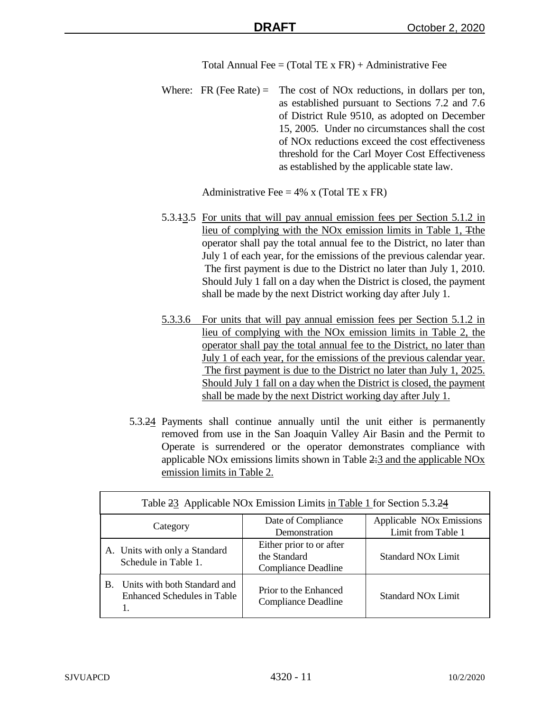Total Annual Fee =  $(Total TE \times FR) +$  Administrative Fee

Where: FR (Fee Rate) = The cost of NO<sub>x</sub> reductions, in dollars per ton, as established pursuant to Sections 7.2 and 7.6 of District Rule 9510, as adopted on December 15, 2005. Under no circumstances shall the cost of NOx reductions exceed the cost effectiveness threshold for the Carl Moyer Cost Effectiveness as established by the applicable state law.

Administrative Fee =  $4\%$  x (Total TE x FR)

- 5.3.13.5 For units that will pay annual emission fees per Section 5.1.2 in lieu of complying with the NOx emission limits in Table 1, Tthe operator shall pay the total annual fee to the District, no later than July 1 of each year, for the emissions of the previous calendar year. The first payment is due to the District no later than July 1, 2010. Should July 1 fall on a day when the District is closed, the payment shall be made by the next District working day after July 1.
- 5.3.3.6 For units that will pay annual emission fees per Section 5.1.2 in lieu of complying with the NOx emission limits in Table 2, the operator shall pay the total annual fee to the District, no later than July 1 of each year, for the emissions of the previous calendar year. The first payment is due to the District no later than July 1, 2025. Should July 1 fall on a day when the District is closed, the payment shall be made by the next District working day after July 1.
- 5.3.24 Payments shall continue annually until the unit either is permanently removed from use in the San Joaquin Valley Air Basin and the Permit to Operate is surrendered or the operator demonstrates compliance with applicable NOx emissions limits shown in Table 2:3 and the applicable NOx emission limits in Table 2.

| Table 23 Applicable NOx Emission Limits in Table 1 for Section 5.3.24          |                                                                        |                                                            |  |  |
|--------------------------------------------------------------------------------|------------------------------------------------------------------------|------------------------------------------------------------|--|--|
| Category                                                                       | Date of Compliance<br>Demonstration                                    | Applicable NO <sub>x</sub> Emissions<br>Limit from Table 1 |  |  |
| A. Units with only a Standard<br>Schedule in Table 1.                          | Either prior to or after<br>the Standard<br><b>Compliance Deadline</b> | <b>Standard NO<sub>x</sub></b> Limit                       |  |  |
| Units with both Standard and<br>B.<br><b>Enhanced Schedules in Table</b><br>1. | Prior to the Enhanced<br>Compliance Deadline                           | <b>Standard NOx Limit</b>                                  |  |  |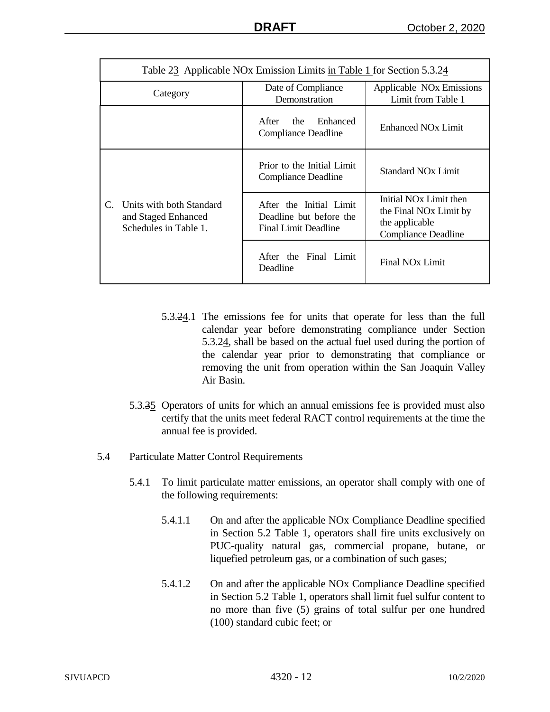| Table 23 Applicable NOx Emission Limits in Table 1 for Section 5.3.24                   |                                                                            |                                                                                                                          |  |  |
|-----------------------------------------------------------------------------------------|----------------------------------------------------------------------------|--------------------------------------------------------------------------------------------------------------------------|--|--|
| Category                                                                                | Date of Compliance<br>Demonstration                                        | Applicable NO <sub>x</sub> Emissions<br>Limit from Table 1                                                               |  |  |
|                                                                                         | After<br>Enhanced<br>the<br><b>Compliance Deadline</b>                     | Enhanced NO <sub>x</sub> Limit                                                                                           |  |  |
|                                                                                         | Prior to the Initial Limit<br><b>Compliance Deadline</b>                   | <b>Standard NO<sub>x</sub></b> Limit                                                                                     |  |  |
| Units with both Standard<br>$C_{\cdot}$<br>and Staged Enhanced<br>Schedules in Table 1. | After the Initial Limit<br>Deadline but before the<br>Final Limit Deadline | Initial NO <sub>x</sub> Limit then<br>the Final NO <sub>x</sub> Limit by<br>the applicable<br><b>Compliance Deadline</b> |  |  |
|                                                                                         | After the Final Limit<br>Deadline                                          | Final NO <sub>x</sub> Limit                                                                                              |  |  |

- 5.3.24.1 The emissions fee for units that operate for less than the full calendar year before demonstrating compliance under Section 5.3.24, shall be based on the actual fuel used during the portion of the calendar year prior to demonstrating that compliance or removing the unit from operation within the San Joaquin Valley Air Basin.
- 5.3.35 Operators of units for which an annual emissions fee is provided must also certify that the units meet federal RACT control requirements at the time the annual fee is provided.
- 5.4 Particulate Matter Control Requirements
	- 5.4.1 To limit particulate matter emissions, an operator shall comply with one of the following requirements:
		- 5.4.1.1 On and after the applicable NOx Compliance Deadline specified in Section 5.2 Table 1, operators shall fire units exclusively on PUC-quality natural gas, commercial propane, butane, or liquefied petroleum gas, or a combination of such gases;
		- 5.4.1.2 On and after the applicable NOx Compliance Deadline specified in Section 5.2 Table 1, operators shall limit fuel sulfur content to no more than five (5) grains of total sulfur per one hundred (100) standard cubic feet; or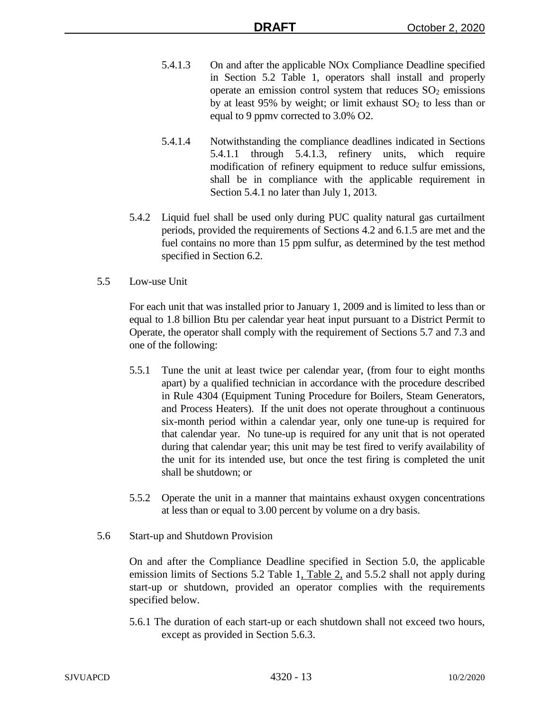- 5.4.1.3 On and after the applicable NOx Compliance Deadline specified in Section 5.2 Table 1, operators shall install and properly operate an emission control system that reduces  $SO<sub>2</sub>$  emissions by at least 95% by weight; or limit exhaust  $SO<sub>2</sub>$  to less than or equal to 9 ppmv corrected to 3.0% O2.
- 5.4.1.4 Notwithstanding the compliance deadlines indicated in Sections 5.4.1.1 through 5.4.1.3, refinery units, which require modification of refinery equipment to reduce sulfur emissions, shall be in compliance with the applicable requirement in Section 5.4.1 no later than July 1, 2013.
- 5.4.2 Liquid fuel shall be used only during PUC quality natural gas curtailment periods, provided the requirements of Sections 4.2 and 6.1.5 are met and the fuel contains no more than 15 ppm sulfur, as determined by the test method specified in Section 6.2.
- 5.5 Low-use Unit

For each unit that was installed prior to January 1, 2009 and is limited to less than or equal to 1.8 billion Btu per calendar year heat input pursuant to a District Permit to Operate, the operator shall comply with the requirement of Sections 5.7 and 7.3 and one of the following:

- 5.5.1 Tune the unit at least twice per calendar year, (from four to eight months apart) by a qualified technician in accordance with the procedure described in Rule 4304 (Equipment Tuning Procedure for Boilers, Steam Generators, and Process Heaters). If the unit does not operate throughout a continuous six-month period within a calendar year, only one tune-up is required for that calendar year. No tune-up is required for any unit that is not operated during that calendar year; this unit may be test fired to verify availability of the unit for its intended use, but once the test firing is completed the unit shall be shutdown; or
- 5.5.2 Operate the unit in a manner that maintains exhaust oxygen concentrations at less than or equal to 3.00 percent by volume on a dry basis.
- 5.6 Start-up and Shutdown Provision

On and after the Compliance Deadline specified in Section 5.0, the applicable emission limits of Sections 5.2 Table 1, Table 2, and 5.5.2 shall not apply during start-up or shutdown, provided an operator complies with the requirements specified below.

5.6.1 The duration of each start-up or each shutdown shall not exceed two hours, except as provided in Section 5.6.3.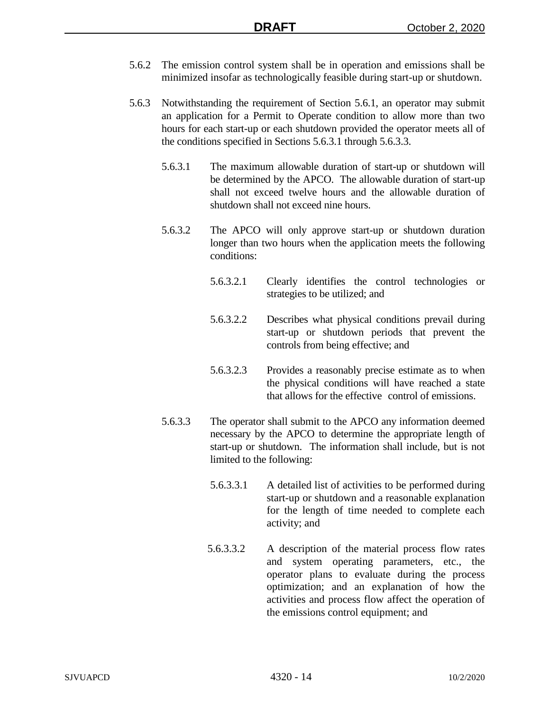- 5.6.2 The emission control system shall be in operation and emissions shall be minimized insofar as technologically feasible during start-up or shutdown.
- 5.6.3 Notwithstanding the requirement of Section 5.6.1, an operator may submit an application for a Permit to Operate condition to allow more than two hours for each start-up or each shutdown provided the operator meets all of the conditions specified in Sections 5.6.3.1 through 5.6.3.3.
	- 5.6.3.1 The maximum allowable duration of start-up or shutdown will be determined by the APCO. The allowable duration of start-up shall not exceed twelve hours and the allowable duration of shutdown shall not exceed nine hours.
	- 5.6.3.2 The APCO will only approve start-up or shutdown duration longer than two hours when the application meets the following conditions:
		- 5.6.3.2.1 Clearly identifies the control technologies or strategies to be utilized; and
		- 5.6.3.2.2 Describes what physical conditions prevail during start-up or shutdown periods that prevent the controls from being effective; and
		- 5.6.3.2.3 Provides a reasonably precise estimate as to when the physical conditions will have reached a state that allows for the effective control of emissions.
	- 5.6.3.3 The operator shall submit to the APCO any information deemed necessary by the APCO to determine the appropriate length of start-up or shutdown. The information shall include, but is not limited to the following:
		- 5.6.3.3.1 A detailed list of activities to be performed during start-up or shutdown and a reasonable explanation for the length of time needed to complete each activity; and
		- 5.6.3.3.2 A description of the material process flow rates and system operating parameters, etc., the operator plans to evaluate during the process optimization; and an explanation of how the activities and process flow affect the operation of the emissions control equipment; and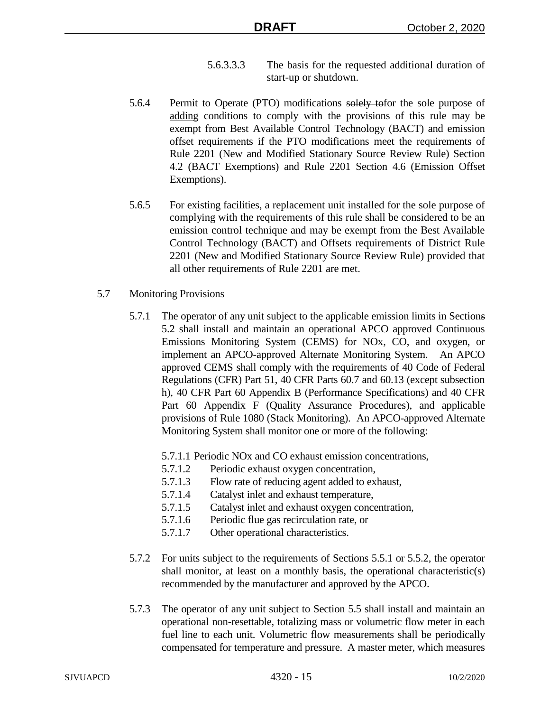- 5.6.3.3.3 The basis for the requested additional duration of start-up or shutdown.
- 5.6.4 Permit to Operate (PTO) modifications solely to for the sole purpose of adding conditions to comply with the provisions of this rule may be exempt from Best Available Control Technology (BACT) and emission offset requirements if the PTO modifications meet the requirements of Rule 2201 (New and Modified Stationary Source Review Rule) Section 4.2 (BACT Exemptions) and Rule 2201 Section 4.6 (Emission Offset Exemptions).
- 5.6.5 For existing facilities, a replacement unit installed for the sole purpose of complying with the requirements of this rule shall be considered to be an emission control technique and may be exempt from the Best Available Control Technology (BACT) and Offsets requirements of District Rule 2201 (New and Modified Stationary Source Review Rule) provided that all other requirements of Rule 2201 are met.
- 5.7 Monitoring Provisions
	- 5.7.1 The operator of any unit subject to the applicable emission limits in Sections 5.2 shall install and maintain an operational APCO approved Continuous Emissions Monitoring System (CEMS) for NOx, CO, and oxygen, or implement an APCO-approved Alternate Monitoring System. An APCO approved CEMS shall comply with the requirements of 40 Code of Federal Regulations (CFR) Part 51, 40 CFR Parts 60.7 and 60.13 (except subsection h), 40 CFR Part 60 Appendix B (Performance Specifications) and 40 CFR Part 60 Appendix F (Quality Assurance Procedures), and applicable provisions of Rule 1080 (Stack Monitoring). An APCO-approved Alternate Monitoring System shall monitor one or more of the following:
		- 5.7.1.1 Periodic NOx and CO exhaust emission concentrations,
		- 5.7.1.2 Periodic exhaust oxygen concentration,
		- 5.7.1.3 Flow rate of reducing agent added to exhaust,
		- 5.7.1.4 Catalyst inlet and exhaust temperature,
		- 5.7.1.5 Catalyst inlet and exhaust oxygen concentration,
		- 5.7.1.6 Periodic flue gas recirculation rate, or
		- 5.7.1.7 Other operational characteristics.
	- 5.7.2 For units subject to the requirements of Sections 5.5.1 or 5.5.2, the operator shall monitor, at least on a monthly basis, the operational characteristic(s) recommended by the manufacturer and approved by the APCO.
	- 5.7.3 The operator of any unit subject to Section 5.5 shall install and maintain an operational non-resettable, totalizing mass or volumetric flow meter in each fuel line to each unit. Volumetric flow measurements shall be periodically compensated for temperature and pressure. A master meter, which measures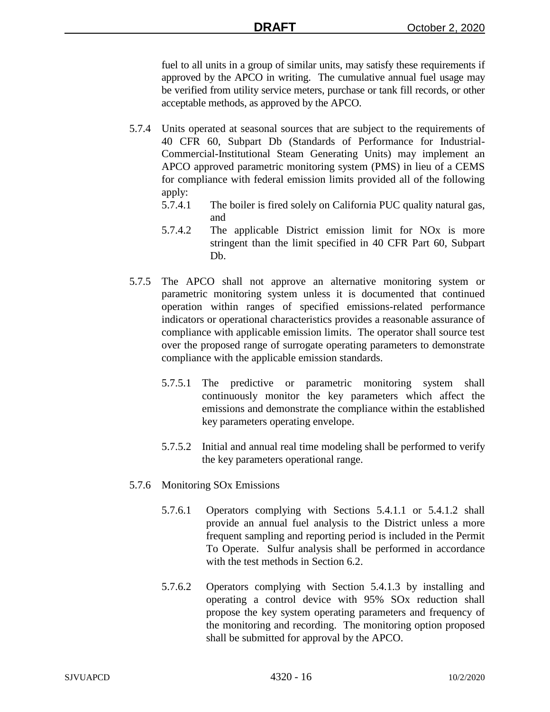fuel to all units in a group of similar units, may satisfy these requirements if approved by the APCO in writing. The cumulative annual fuel usage may be verified from utility service meters, purchase or tank fill records, or other acceptable methods, as approved by the APCO.

- 5.7.4 Units operated at seasonal sources that are subject to the requirements of 40 CFR 60, Subpart Db (Standards of Performance for Industrial-Commercial-Institutional Steam Generating Units) may implement an APCO approved parametric monitoring system (PMS) in lieu of a CEMS for compliance with federal emission limits provided all of the following apply:
	- 5.7.4.1 The boiler is fired solely on California PUC quality natural gas, and
	- 5.7.4.2 The applicable District emission limit for NOx is more stringent than the limit specified in 40 CFR Part 60, Subpart Db.
- 5.7.5 The APCO shall not approve an alternative monitoring system or parametric monitoring system unless it is documented that continued operation within ranges of specified emissions-related performance indicators or operational characteristics provides a reasonable assurance of compliance with applicable emission limits. The operator shall source test over the proposed range of surrogate operating parameters to demonstrate compliance with the applicable emission standards.
	- 5.7.5.1 The predictive or parametric monitoring system shall continuously monitor the key parameters which affect the emissions and demonstrate the compliance within the established key parameters operating envelope.
	- 5.7.5.2 Initial and annual real time modeling shall be performed to verify the key parameters operational range.
- 5.7.6 Monitoring SOx Emissions
	- 5.7.6.1 Operators complying with Sections 5.4.1.1 or 5.4.1.2 shall provide an annual fuel analysis to the District unless a more frequent sampling and reporting period is included in the Permit To Operate. Sulfur analysis shall be performed in accordance with the test methods in Section 6.2.
	- 5.7.6.2 Operators complying with Section 5.4.1.3 by installing and operating a control device with 95% SOx reduction shall propose the key system operating parameters and frequency of the monitoring and recording. The monitoring option proposed shall be submitted for approval by the APCO.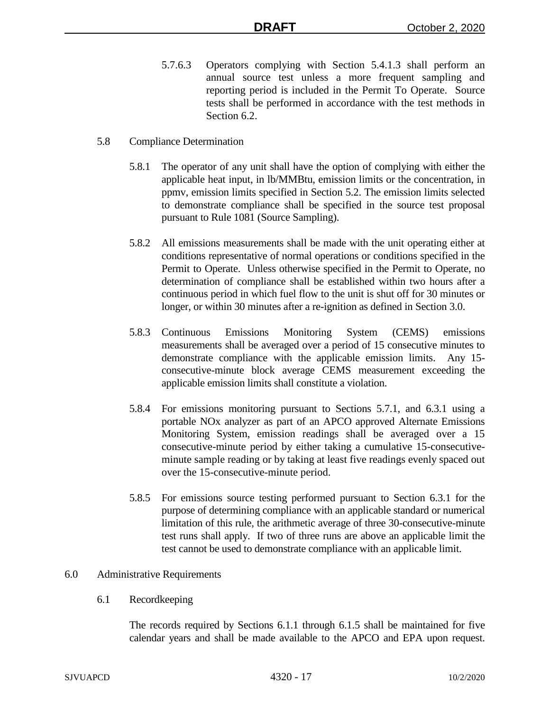- 5.7.6.3 Operators complying with Section 5.4.1.3 shall perform an annual source test unless a more frequent sampling and reporting period is included in the Permit To Operate. Source tests shall be performed in accordance with the test methods in Section 6.2.
- 5.8 Compliance Determination
	- 5.8.1 The operator of any unit shall have the option of complying with either the applicable heat input, in lb/MMBtu, emission limits or the concentration, in ppmv, emission limits specified in Section 5.2. The emission limits selected to demonstrate compliance shall be specified in the source test proposal pursuant to Rule 1081 (Source Sampling).
	- 5.8.2 All emissions measurements shall be made with the unit operating either at conditions representative of normal operations or conditions specified in the Permit to Operate. Unless otherwise specified in the Permit to Operate, no determination of compliance shall be established within two hours after a continuous period in which fuel flow to the unit is shut off for 30 minutes or longer, or within 30 minutes after a re-ignition as defined in Section 3.0.
	- 5.8.3 Continuous Emissions Monitoring System (CEMS) emissions measurements shall be averaged over a period of 15 consecutive minutes to demonstrate compliance with the applicable emission limits. Any 15 consecutive-minute block average CEMS measurement exceeding the applicable emission limits shall constitute a violation.
	- 5.8.4 For emissions monitoring pursuant to Sections 5.7.1, and 6.3.1 using a portable NOx analyzer as part of an APCO approved Alternate Emissions Monitoring System, emission readings shall be averaged over a 15 consecutive-minute period by either taking a cumulative 15-consecutiveminute sample reading or by taking at least five readings evenly spaced out over the 15-consecutive-minute period.
	- 5.8.5 For emissions source testing performed pursuant to Section 6.3.1 for the purpose of determining compliance with an applicable standard or numerical limitation of this rule, the arithmetic average of three 30-consecutive-minute test runs shall apply. If two of three runs are above an applicable limit the test cannot be used to demonstrate compliance with an applicable limit.

#### 6.0 Administrative Requirements

6.1 Recordkeeping

The records required by Sections 6.1.1 through 6.1.5 shall be maintained for five calendar years and shall be made available to the APCO and EPA upon request.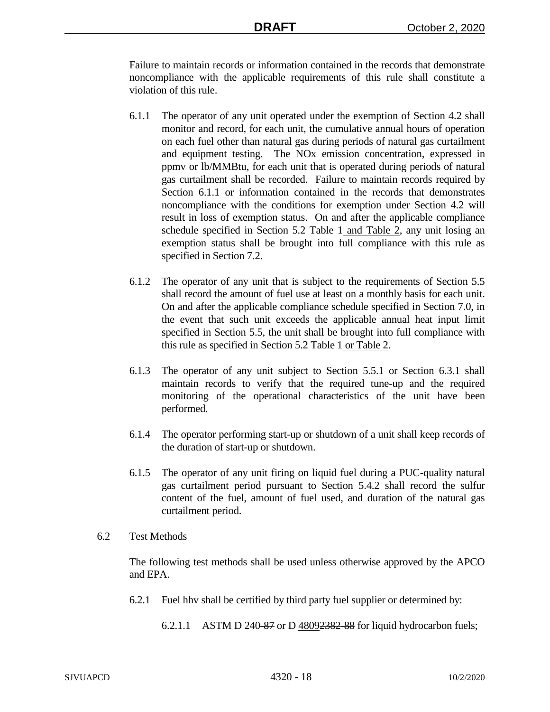Failure to maintain records or information contained in the records that demonstrate noncompliance with the applicable requirements of this rule shall constitute a violation of this rule.

- 6.1.1 The operator of any unit operated under the exemption of Section 4.2 shall monitor and record, for each unit, the cumulative annual hours of operation on each fuel other than natural gas during periods of natural gas curtailment and equipment testing. The NOx emission concentration, expressed in ppmv or lb/MMBtu, for each unit that is operated during periods of natural gas curtailment shall be recorded. Failure to maintain records required by Section 6.1.1 or information contained in the records that demonstrates noncompliance with the conditions for exemption under Section 4.2 will result in loss of exemption status. On and after the applicable compliance schedule specified in Section 5.2 Table 1 and Table 2, any unit losing an exemption status shall be brought into full compliance with this rule as specified in Section 7.2.
- 6.1.2 The operator of any unit that is subject to the requirements of Section 5.5 shall record the amount of fuel use at least on a monthly basis for each unit. On and after the applicable compliance schedule specified in Section 7.0, in the event that such unit exceeds the applicable annual heat input limit specified in Section 5.5, the unit shall be brought into full compliance with this rule as specified in Section 5.2 Table 1 or Table 2.
- 6.1.3 The operator of any unit subject to Section 5.5.1 or Section 6.3.1 shall maintain records to verify that the required tune-up and the required monitoring of the operational characteristics of the unit have been performed.
- 6.1.4 The operator performing start-up or shutdown of a unit shall keep records of the duration of start-up or shutdown.
- 6.1.5 The operator of any unit firing on liquid fuel during a PUC-quality natural gas curtailment period pursuant to Section 5.4.2 shall record the sulfur content of the fuel, amount of fuel used, and duration of the natural gas curtailment period.
- 6.2 Test Methods

The following test methods shall be used unless otherwise approved by the APCO and EPA.

- 6.2.1 Fuel hhv shall be certified by third party fuel supplier or determined by:
	- 6.2.1.1 ASTM D 240-87 or D 48092382-88 for liquid hydrocarbon fuels;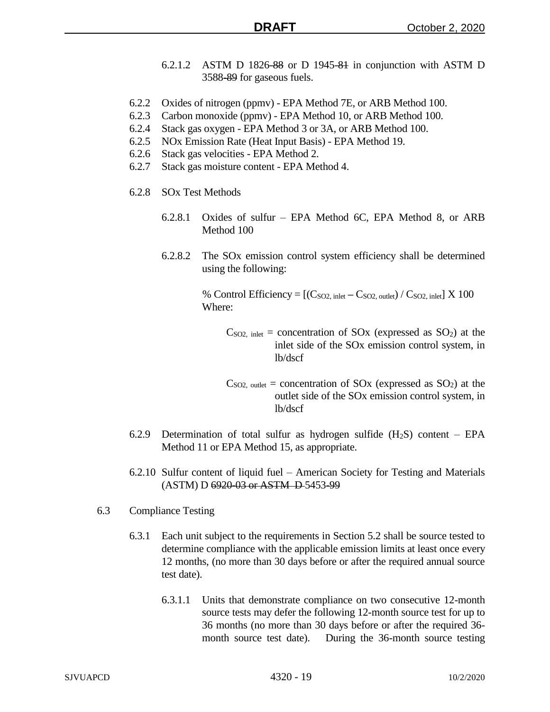- 6.2.1.2 ASTM D 1826-88 or D 1945-81 in conjunction with ASTM D 3588-89 for gaseous fuels.
- 6.2.2 Oxides of nitrogen (ppmv) EPA Method 7E, or ARB Method 100.
- 6.2.3 Carbon monoxide (ppmv) EPA Method 10, or ARB Method 100.
- 6.2.4 Stack gas oxygen EPA Method 3 or 3A, or ARB Method 100.
- 6.2.5 NOx Emission Rate (Heat Input Basis) EPA Method 19.
- 6.2.6 Stack gas velocities EPA Method 2.
- 6.2.7 Stack gas moisture content EPA Method 4.
- 6.2.8 SOx Test Methods
	- 6.2.8.1 Oxides of sulfur EPA Method 6C, EPA Method 8, or ARB Method 100
	- 6.2.8.2 The SOx emission control system efficiency shall be determined using the following:

% Control Efficiency  $= [(C_{SO2, \text{ inlet}} - C_{SO2, \text{ outlet}}) / C_{SO2, \text{ inlet}}] \times 100$ Where:

- $C<sub>SO2</sub>$ , inlet = concentration of  $SO<sub>X</sub>$  (expressed as  $SO<sub>2</sub>$ ) at the inlet side of the SOx emission control system, in lb/dscf
- $C<sub>SO2</sub>$ , outlet = concentration of SOx (expressed as SO<sub>2</sub>) at the outlet side of the SOx emission control system, in lb/dscf
- 6.2.9 Determination of total sulfur as hydrogen sulfide  $(H_2S)$  content EPA Method 11 or EPA Method 15, as appropriate.
- 6.2.10 Sulfur content of liquid fuel American Society for Testing and Materials (ASTM) D 6920-03 or ASTM D 5453-99
- 6.3 Compliance Testing
	- 6.3.1 Each unit subject to the requirements in Section 5.2 shall be source tested to determine compliance with the applicable emission limits at least once every 12 months, (no more than 30 days before or after the required annual source test date).
		- 6.3.1.1 Units that demonstrate compliance on two consecutive 12-month source tests may defer the following 12-month source test for up to 36 months (no more than 30 days before or after the required 36 month source test date). During the 36-month source testing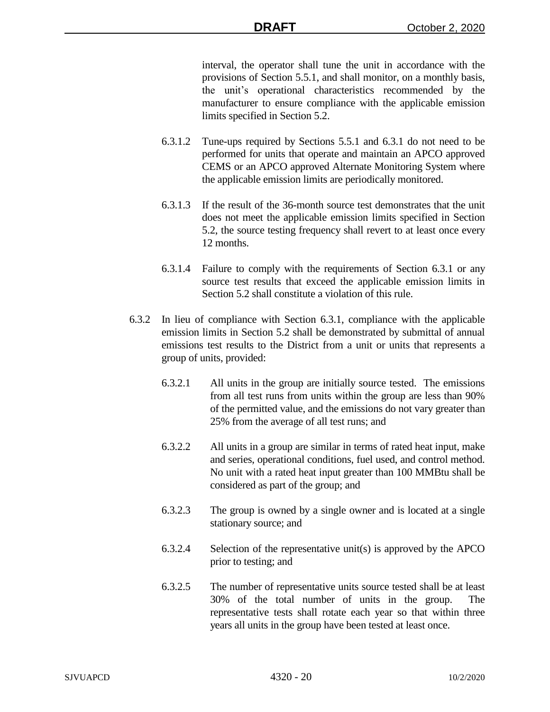interval, the operator shall tune the unit in accordance with the provisions of Section 5.5.1, and shall monitor, on a monthly basis, the unit's operational characteristics recommended by the manufacturer to ensure compliance with the applicable emission limits specified in Section 5.2.

- 6.3.1.2 Tune-ups required by Sections 5.5.1 and 6.3.1 do not need to be performed for units that operate and maintain an APCO approved CEMS or an APCO approved Alternate Monitoring System where the applicable emission limits are periodically monitored.
- 6.3.1.3 If the result of the 36-month source test demonstrates that the unit does not meet the applicable emission limits specified in Section 5.2, the source testing frequency shall revert to at least once every 12 months.
- 6.3.1.4 Failure to comply with the requirements of Section 6.3.1 or any source test results that exceed the applicable emission limits in Section 5.2 shall constitute a violation of this rule.
- 6.3.2 In lieu of compliance with Section 6.3.1, compliance with the applicable emission limits in Section 5.2 shall be demonstrated by submittal of annual emissions test results to the District from a unit or units that represents a group of units, provided:
	- 6.3.2.1 All units in the group are initially source tested. The emissions from all test runs from units within the group are less than 90% of the permitted value, and the emissions do not vary greater than 25% from the average of all test runs; and
	- 6.3.2.2 All units in a group are similar in terms of rated heat input, make and series, operational conditions, fuel used, and control method. No unit with a rated heat input greater than 100 MMBtu shall be considered as part of the group; and
	- 6.3.2.3 The group is owned by a single owner and is located at a single stationary source; and
	- 6.3.2.4 Selection of the representative unit(s) is approved by the APCO prior to testing; and
	- 6.3.2.5 The number of representative units source tested shall be at least 30% of the total number of units in the group. The representative tests shall rotate each year so that within three years all units in the group have been tested at least once.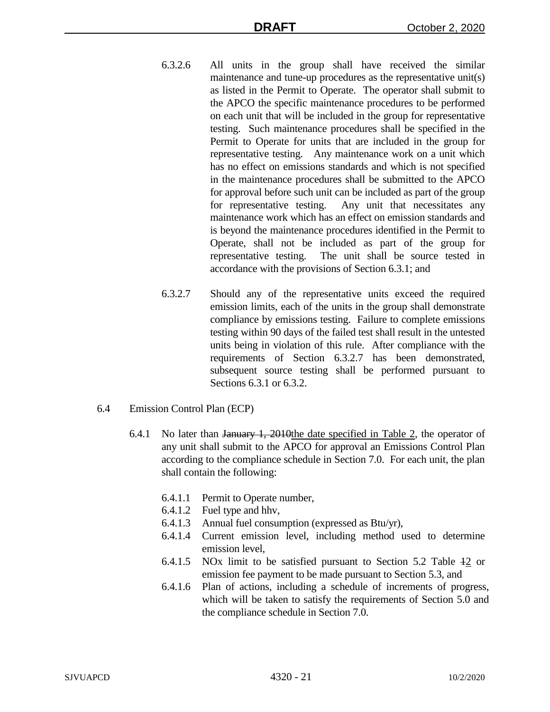- 6.3.2.6 All units in the group shall have received the similar maintenance and tune-up procedures as the representative unit(s) as listed in the Permit to Operate. The operator shall submit to the APCO the specific maintenance procedures to be performed on each unit that will be included in the group for representative testing. Such maintenance procedures shall be specified in the Permit to Operate for units that are included in the group for representative testing. Any maintenance work on a unit which has no effect on emissions standards and which is not specified in the maintenance procedures shall be submitted to the APCO for approval before such unit can be included as part of the group for representative testing. Any unit that necessitates any maintenance work which has an effect on emission standards and is beyond the maintenance procedures identified in the Permit to Operate, shall not be included as part of the group for representative testing. The unit shall be source tested in accordance with the provisions of Section 6.3.1; and
- 6.3.2.7 Should any of the representative units exceed the required emission limits, each of the units in the group shall demonstrate compliance by emissions testing. Failure to complete emissions testing within 90 days of the failed test shall result in the untested units being in violation of this rule. After compliance with the requirements of Section 6.3.2.7 has been demonstrated, subsequent source testing shall be performed pursuant to Sections 6.3.1 or 6.3.2.
- 6.4 Emission Control Plan (ECP)
	- 6.4.1 No later than January 1, 2010the date specified in Table 2, the operator of any unit shall submit to the APCO for approval an Emissions Control Plan according to the compliance schedule in Section 7.0. For each unit, the plan shall contain the following:
		- 6.4.1.1 Permit to Operate number,
		- 6.4.1.2 Fuel type and hhv,
		- 6.4.1.3 Annual fuel consumption (expressed as Btu/yr),
		- 6.4.1.4 Current emission level, including method used to determine emission level,
		- 6.4.1.5 NOx limit to be satisfied pursuant to Section 5.2 Table 12 or emission fee payment to be made pursuant to Section 5.3, and
		- 6.4.1.6 Plan of actions, including a schedule of increments of progress, which will be taken to satisfy the requirements of Section 5.0 and the compliance schedule in Section 7.0.